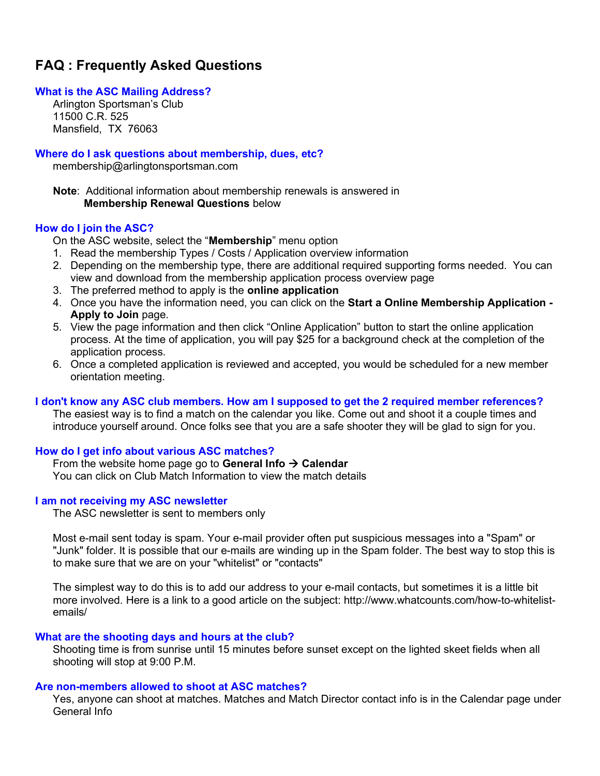# FAQ : Frequently Asked Questions

#### What is the ASC Mailing Address?

Arlington Sportsman's Club 11500 C.R. 525 Mansfield, TX 76063

#### Where do I ask questions about membership, dues, etc?

membership@arlingtonsportsman.com

Note: Additional information about membership renewals is answered in Membership Renewal Questions below

#### How do I join the ASC?

On the ASC website, select the "Membership" menu option

- 1. Read the membership Types / Costs / Application overview information
- 2. Depending on the membership type, there are additional required supporting forms needed. You can view and download from the membership application process overview page
- 3. The preferred method to apply is the online application
- 4. Once you have the information need, you can click on the Start a Online Membership Application Apply to Join page.
- 5. View the page information and then click "Online Application" button to start the online application process. At the time of application, you will pay \$25 for a background check at the completion of the application process.
- 6. Once a completed application is reviewed and accepted, you would be scheduled for a new member orientation meeting.

## I don't know any ASC club members. How am I supposed to get the 2 required member references?

 The easiest way is to find a match on the calendar you like. Come out and shoot it a couple times and introduce yourself around. Once folks see that you are a safe shooter they will be glad to sign for you.

## How do I get info about various ASC matches?

From the website home page go to General Info  $\rightarrow$  Calendar You can click on Club Match Information to view the match details

#### I am not receiving my ASC newsletter

The ASC newsletter is sent to members only

 Most e-mail sent today is spam. Your e-mail provider often put suspicious messages into a "Spam" or "Junk" folder. It is possible that our e-mails are winding up in the Spam folder. The best way to stop this is to make sure that we are on your "whitelist" or "contacts"

 The simplest way to do this is to add our address to your e-mail contacts, but sometimes it is a little bit more involved. Here is a link to a good article on the subject: http://www.whatcounts.com/how-to-whitelistemails/

#### What are the shooting days and hours at the club?

 Shooting time is from sunrise until 15 minutes before sunset except on the lighted skeet fields when all shooting will stop at 9:00 P.M.

#### Are non-members allowed to shoot at ASC matches?

 Yes, anyone can shoot at matches. Matches and Match Director contact info is in the Calendar page under General Info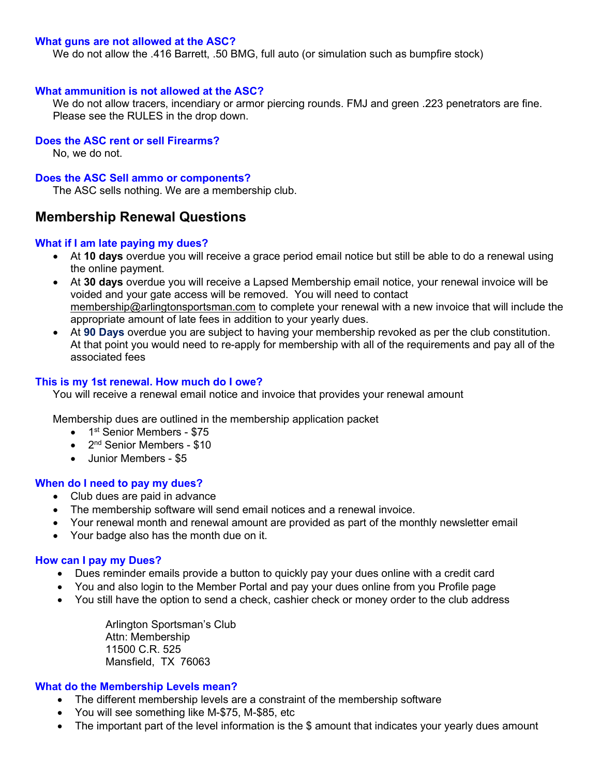#### What guns are not allowed at the ASC?

We do not allow the .416 Barrett, .50 BMG, full auto (or simulation such as bumpfire stock)

#### What ammunition is not allowed at the ASC?

 We do not allow tracers, incendiary or armor piercing rounds. FMJ and green .223 penetrators are fine. Please see the RULES in the drop down.

## Does the ASC rent or sell Firearms?

No, we do not.

#### Does the ASC Sell ammo or components?

The ASC sells nothing. We are a membership club.

## Membership Renewal Questions

#### What if I am late paying my dues?

- At 10 days overdue you will receive a grace period email notice but still be able to do a renewal using the online payment.
- At 30 days overdue you will receive a Lapsed Membership email notice, your renewal invoice will be voided and your gate access will be removed. You will need to contact membership@arlingtonsportsman.com to complete your renewal with a new invoice that will include the appropriate amount of late fees in addition to your yearly dues.
- At 90 Days overdue you are subject to having your membership revoked as per the club constitution. At that point you would need to re-apply for membership with all of the requirements and pay all of the associated fees

## This is my 1st renewal. How much do I owe?

You will receive a renewal email notice and invoice that provides your renewal amount

Membership dues are outlined in the membership application packet

- $\bullet$  1<sup>st</sup> Senior Members \$75
- $\bullet$  2<sup>nd</sup> Senior Members \$10
- Junior Members \$5

## When do I need to pay my dues?

- Club dues are paid in advance
- The membership software will send email notices and a renewal invoice.
- Your renewal month and renewal amount are provided as part of the monthly newsletter email
- Your badge also has the month due on it.

## How can I pay my Dues?

- Dues reminder emails provide a button to quickly pay your dues online with a credit card
- You and also login to the Member Portal and pay your dues online from you Profile page
- You still have the option to send a check, cashier check or money order to the club address

Arlington Sportsman's Club Attn: Membership 11500 C.R. 525 Mansfield, TX 76063

#### What do the Membership Levels mean?

- The different membership levels are a constraint of the membership software
- You will see something like M-\$75, M-\$85, etc
- The important part of the level information is the \$ amount that indicates your yearly dues amount